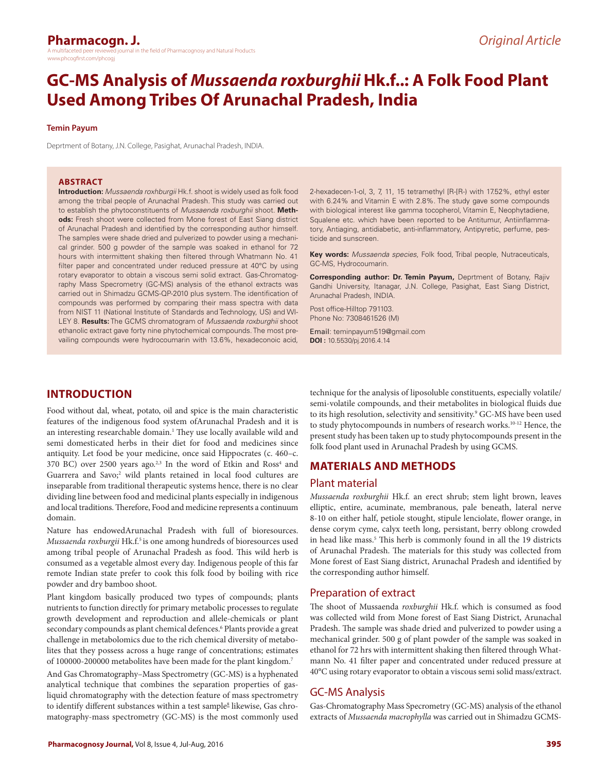# **GC-MS Analysis of** *Mussaenda roxburghii* **Hk.f..: A Folk Food Plant Used Among Tribes Of Arunachal Pradesh, India**

#### **Temin Payum**

Deprtment of Botany, J.N. College, Pasighat, Arunachal Pradesh, INDIA.

#### **ABSTRACT**

**Introduction:** *Mussaenda roxhburgii* Hk.f. shoot is widely used as folk food among the tribal people of Arunachal Pradesh. This study was carried out to establish the phytoconstituents of *Mussaenda roxburghii* shoot. **Methods:** Fresh shoot were collected from Mone forest of East Siang district of Arunachal Pradesh and identified by the corresponding author himself. The samples were shade dried and pulverized to powder using a mechanical grinder. 500 g powder of the sample was soaked in ethanol for 72 hours with intermittent shaking then filtered through Whatmann No. 41 filter paper and concentrated under reduced pressure at 40°C by using rotary evaporator to obtain a viscous semi solid extract. Gas-Chromatography Mass Specrometry (GC-MS) analysis of the ethanol extracts was carried out in Shimadzu GCMS-QP-2010 plus system. The identification of compounds was performed by comparing their mass spectra with data from NIST 11 (National Institute of Standards and Technology, US) and WI-LEY 8. **Results:** The GCMS chromatogram of *Mussaenda roxburghii* shoot ethanolic extract gave forty nine phytochemical compounds. The most prevailing compounds were hydrocoumarin with 13.6%, hexadeconoic acid,

2-hexadecen-1-ol, 3, 7, 11, 15 tetramethyl [R-[R-) with 17.52%, ethyl ester with 6.24% and Vitamin E with 2.8%. The study gave some compounds with biological interest like gamma tocopherol, Vitamin E, Neophytadiene, Squalene etc. which have been reported to be Antitumur, Antiinflammatory, Antiaging, antidiabetic, anti-inflammatory, Antipyretic, perfume, pesticide and sunscreen.

**Key words:** *Mussaenda species*, Folk food, Tribal people, Nutraceuticals, GC-MS, Hydrocoumarin.

**Corresponding author: Dr. Temin Payum,** Deprtment of Botany, Rajiv Gandhi University, Itanagar, J.N. College, Pasighat, East Siang District, Arunachal Pradesh, INDIA.

Post office-Hilltop 791103. Phone No: 7308461526 (M)

Email: teminpayum519@gmail.com **DOI :** 10.5530/pj.2016.4.14

## **INTRODUCTION**

Food without dal, wheat, potato, oil and spice is the main characteristic features of the indigenous food system ofArunachal Pradesh and it is an interesting researchable domain.<sup>1</sup> They use locally available wild and semi domesticated herbs in their diet for food and medicines since antiquity. Let food be your medicine, once said Hippocrates (c. 460–c. 370 BC) over 2500 years ago.<sup>2,3</sup> In the word of Etkin and Ross<sup>4</sup> and Guarrera and Savo;<sup>2</sup> wild plants retained in local food cultures are inseparable from traditional therapeutic systems hence, there is no clear dividing line between food and medicinal plants especially in indigenous and local traditions. Therefore, Food and medicine represents a continuum domain.

Nature has endowedArunachal Pradesh with full of bioresources. *Mussaenda roxburgii* Hk.f.<sup>5</sup> is one among hundreds of bioresources used among tribal people of Arunachal Pradesh as food. This wild herb is consumed as a vegetable almost every day. Indigenous people of this far remote Indian state prefer to cook this folk food by boiling with rice powder and dry bamboo shoot.

Plant kingdom basically produced two types of compounds; plants nutrients to function directly for primary metabolic processes to regulate growth development and reproduction and allele-chemicals or plant secondary compounds as plant chemical defences.<sup>6</sup> Plants provide a great challenge in metabolomics due to the rich chemical diversity of metabolites that they possess across a huge range of concentrations; estimates of 100000-200000 metabolites have been made for the plant kingdom.7

And Gas Chromatography–Mass Spectrometry (GC-MS) is a hyphenated analytical technique that combines the separation properties of gasliquid chromatography with the detection feature of mass spectrometry to identify different substances within a test sample<sup>8</sup> likewise, Gas chromatography-mass spectrometry (GC-MS) is the most commonly used

technique for the analysis of liposoluble constituents, especially volatile/ semi-volatile compounds, and their metabolites in biological fluids due to its high resolution, selectivity and sensitivity.<sup>9</sup> GC-MS have been used to study phytocompounds in numbers of research works.<sup>10-12</sup> Hence, the present study has been taken up to study phytocompounds present in the folk food plant used in Arunachal Pradesh by using GCMS.

## **MATERIALS AND METHODS**

### Plant material

*Mussaenda roxburghii* Hk.f. an erect shrub; stem light brown, leaves elliptic, entire, acuminate, membranous, pale beneath, lateral nerve 8-10 on either half, petiole stought, stipule lenciolate, flower orange, in dense corym cyme, calyx teeth long, persistant, berry oblong crowded in head like mass.<sup>5</sup> This herb is commonly found in all the 19 districts of Arunachal Pradesh. The materials for this study was collected from Mone forest of East Siang district, Arunachal Pradesh and identified by the corresponding author himself.

#### Preparation of extract

The shoot of Mussaenda *roxburghii* Hk.f. which is consumed as food was collected wild from Mone forest of East Siang District, Arunachal Pradesh. The sample was shade dried and pulverized to powder using a mechanical grinder. 500 g of plant powder of the sample was soaked in ethanol for 72 hrs with intermittent shaking then filtered through Whatmann No. 41 filter paper and concentrated under reduced pressure at 40°C using rotary evaporator to obtain a viscous semi solid mass/extract.

## GC-MS Analysis

Gas-Chromatography Mass Specrometry (GC-MS) analysis of the ethanol extracts of *Mussaenda macrophylla* was carried out in Shimadzu GCMS-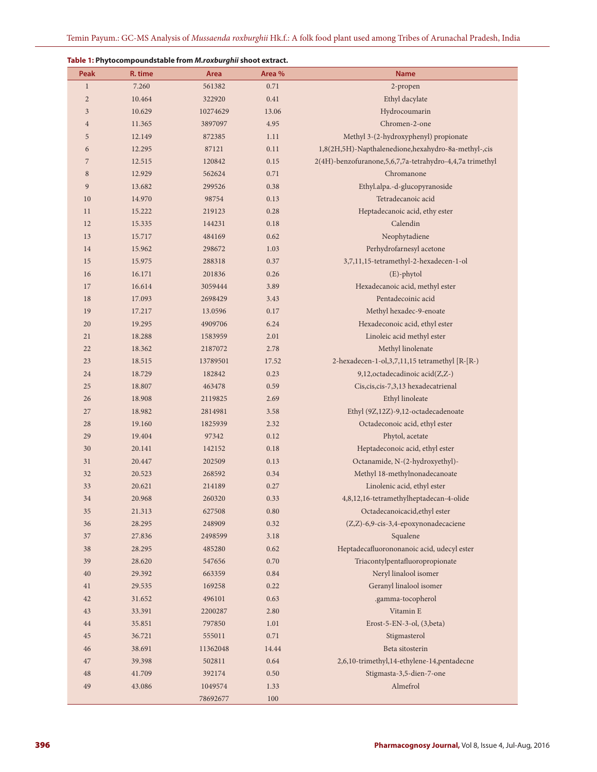**Table 1: Phytocompoundstable from** *M.roxburghii* **shoot extract. Peak R. time Area Area % Name**  1 7.260 561382 0.71 2-propen 2 10.464 322920 0.41 Ethyl dacylate 10.629 10274629 13.06 Hydrocoumarin 11.365 3897097 4.95 Chromen-2-one 12.149 872385 1.11 Methyl 3-(2-hydroxyphenyl) propionate 12.295 87121 0.11 1,8(2H,5H)-Napthalenedione,hexahydro-8a-methyl-,cis 12.515 120842 0.15 2(4H)-benzofuranone,5,6,7,7a-tetrahydro-4,4,7a trimethyl 12.929 562624 0.71 Chromanone 13.682 299526 0.38 Ethyl.alpa.-d-glucopyranoside 14.970 98754 0.13 Tetradecanoic acid 15.222 219123 0.28 Heptadecanoic acid, ethy ester 12 15.335 144231 0.18 Calendin 15.717 484169 0.62 Neophytadiene 15.962 298672 1.03 Perhydrofarnesyl acetone 15.975 288318 0.37 3,7,11,15-tetramethyl-2-hexadecen-1-ol 16 16.171 201836 0.26 (E)-phytol 16.614 3059444 3.89 Hexadecanoic acid, methyl ester 17.093 2698429 3.43 Pentadecoinic acid 17.217 13.0596 0.17 Methyl hexadec-9-enoate 19.295 4909706 6.24 Hexadeconoic acid, ethyl ester 18.288 1583959 2.01 Linoleic acid methyl ester 18.362 2187072 2.78 Methyl linolenate 18.515 13789501 17.52 2-hexadecen-1-ol,3,7,11,15 tetramethyl [R-[R-) 18.729 182842 0.23 9,12,octadecadinoic acid(Z,Z-) 18.807 463478 0.59 Cis,cis,cis-7,3,13 hexadecatrienal 18.908 2119825 2.69 Ethyl linoleate 18.982 2814981 3.58 Ethyl (9Z,12Z)-9,12-octadecadenoate 19.160 1825939 2.32 Octadeconoic acid, ethyl ester 19.404 97342 0.12 Phytol, acetate 20.141 142152 0.18 Heptadeconoic acid, ethyl ester 20.447 202509 0.13 Octanamide, N-(2-hydroxyethyl)- 20.523 268592 0.34 Methyl 18-methylnonadecanoate 20.621 214189 0.27 Linolenic acid, ethyl ester 20.968 260320 0.33 4,8,12,16-tetramethylheptadecan-4-olide 21.313 627508 0.80 Octadecanoicacid,ethyl ester 28.295 248909 0.32 (Z,Z)-6,9-cis-3,4-epoxynonadecaciene 27.836 2498599 3.18 Squalene 28.295 485280 0.62 Heptadecafluorononanoic acid, udecyl ester 28.620 547656 0.70 Triacontylpentafluoropropionate 29.392 663359 0.84 Neryl linalool isomer 29.535 169258 0.22 Geranyl linalool isomer 31.652 496101 0.63 .gamma-tocopherol 33.391 2200287 2.80 Vitamin E 35.851 797850 1.01 Erost-5-EN-3-ol, (3,beta) 36.721 555011 0.71 Stigmasterol 38.691 11362048 14.44 Beta sitosterin 39.398 502811 0.64 2,6,10-trimethyl,14-ethylene-14,pentadecne 41.709 392174 0.50 Stigmasta-3,5-dien-7-one 43.086 1049574 1.33 Almefrol 100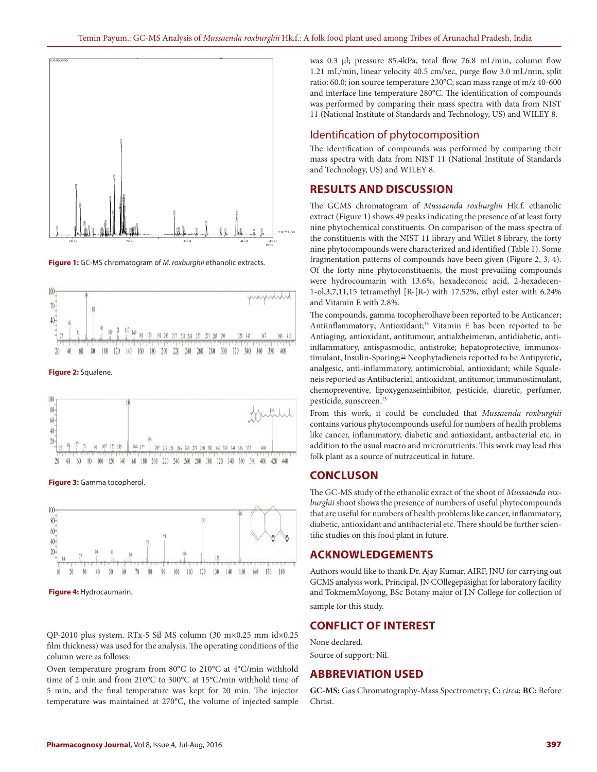

**Figure 1:** GC-MS chromatogram of *M. roxburghii* ethanolic extracts.



**Figure 2:** Squalene.



**Figure 3:** Gamma tocopherol.



**Figure 4:** Hydrocaumarin.

QP-2010 plus system. RTx-5 Sil MS column (30 m×0.25 mm id×0.25 film thickness) was used for the analysis. The operating conditions of the column were as follows:

Oven temperature program from 80°C to 210°C at 4°C/min withhold time of 2 min and from 210°C to 300°C at 15°C/min withhold time of 5 min, and the final temperature was kept for 20 min. The injector temperature was maintained at 270°C, the volume of injected sample

was 0.3 μl; pressure 85.4kPa, total flow 76.8 mL/min, column flow 1.21 mL/min, linear velocity 40.5 cm/sec, purge flow 3.0 mL/min, split ratio: 60.0; ion source temperature 230°C; scan mass range of m/z 40-600 and interface line temperature 280°C. The identification of compounds was performed by comparing their mass spectra with data from NIST 11 (National Institute of Standards and Technology, US) and WILEY 8.

### Identification of phytocomposition

The identification of compounds was performed by comparing their mass spectra with data from NIST 11 (National Institute of Standards and Technology, US) and WILEY 8.

## **RESULTS AND DISCUSSION**

The GCMS chromatogram of *Mussaenda roxburghii* Hk.f. ethanolic extract (Figure 1) shows 49 peaks indicating the presence of at least forty nine phytochemical constituents. On comparison of the mass spectra of the constituents with the NIST 11 library and Willet 8 library, the forty nine phytocompounds were characterized and identified (Table 1). Some fragmentation patterns of compounds have been given (Figure 2, 3, 4). Of the forty nine phytoconstituents, the most prevailing compounds were hydrocoumarin with 13.6%, hexadeconoic acid, 2-hexadecen-1-ol,3,7,11,15 tetramethyl [R-[R-) with 17.52%, ethyl ester with 6.24% and Vitamin E with 2.8%.

The compounds, gamma tocopherolhave been reported to be Anticancer; Antiinflammatory; Antioxidant;<sup>13</sup> Vitamin E has been reported to be Antiaging, antioxidant, antitumour, antialzheimeran, antidiabetic, antiinflammatory, antispasmodic, antistroke; hepatoprotective, immunostimulant, Insulin-Sparing;<sup>13</sup> Neophytadieneis reported to be Antipyretic, analgesic, anti-inflammatory, antimicrobial, antioxidant; while Squaleneis reported as Antibacterial, antioxidant, antitumor, immunostimulant, chemopreventive, lipoxygenaseinhibitor, pesticide, diuretic, perfumer, pesticide, sunscreen.<sup>13</sup>

From this work, it could be concluded that *Mussaenda roxburghii* contains various phytocompounds useful for numbers of health problems like cancer, inflammatory, diabetic and antioxidant, antbacterial etc. in addition to the usual macro and micronutrients. This work may lead this folk plant as a source of nutraceutical in future.

#### **CONCLUSON**

The GC-MS study of the ethanolic exract of the shoot of *Mussaenda roxburghii* shoot shows the presence of numbers of useful phytocompounds that are useful for numbers of health problems like cancer, inflammatory, diabetic, antioxidant and antibacterial etc. There should be further scientific studies on this food plant in future.

#### **ACKNOWLEDGEMENTS**

Authors would like to thank Dr. Ajay Kumar, AIRF, JNU for carrying out GCMS analysis work, Principal, JN COllegepasighat for laboratory facility and TokmemMoyong, BSc Botany major of J.N College for collection of sample for this study.

## **CONFLICT OF INTEREST**

None declared. Source of support: Nil.

# **ABBREVIATION USED**

**GC-MS:** Gas Chromatography-Mass Spectrometry; **C:** *circa*; **BC:** Before Christ.